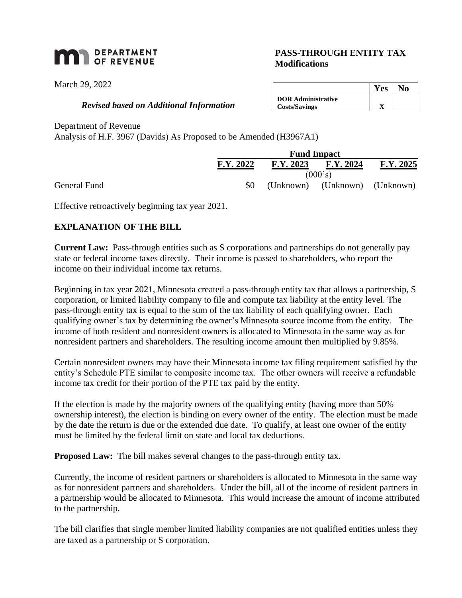# **MAN** DEPARTMENT

March 29, 2022

### *Revised based on Additional Information*

## **PASS-THROUGH ENTITY TAX Modifications**

|                           | Y es |  |
|---------------------------|------|--|
| <b>DOR</b> Administrative |      |  |
| <b>Costs/Savings</b>      |      |  |

Department of Revenue

Analysis of H.F. 3967 (Davids) As Proposed to be Amended (H3967A1)

|              |           | <b>Fund Impact</b> |                               |           |  |
|--------------|-----------|--------------------|-------------------------------|-----------|--|
|              | F.Y. 2022 | F.Y. 2023          | F.Y. 2024                     | F.Y. 2025 |  |
|              |           | (000's)            |                               |           |  |
| General Fund | \$0       |                    | (Unknown) (Unknown) (Unknown) |           |  |

Effective retroactively beginning tax year 2021.

## **EXPLANATION OF THE BILL**

**Current Law:** Pass-through entities such as S corporations and partnerships do not generally pay state or federal income taxes directly. Their income is passed to shareholders, who report the income on their individual income tax returns.

Beginning in tax year 2021, Minnesota created a pass-through entity tax that allows a partnership, S corporation, or limited liability company to file and compute tax liability at the entity level. The pass-through entity tax is equal to the sum of the tax liability of each qualifying owner. Each qualifying owner's tax by determining the owner's Minnesota source income from the entity. The income of both resident and nonresident owners is allocated to Minnesota in the same way as for nonresident partners and shareholders. The resulting income amount then multiplied by 9.85%.

Certain nonresident owners may have their Minnesota income tax filing requirement satisfied by the entity's Schedule PTE similar to composite income tax. The other owners will receive a refundable income tax credit for their portion of the PTE tax paid by the entity.

If the election is made by the majority owners of the qualifying entity (having more than 50% ownership interest), the election is binding on every owner of the entity. The election must be made by the date the return is due or the extended due date. To qualify, at least one owner of the entity must be limited by the federal limit on state and local tax deductions.

**Proposed Law:** The bill makes several changes to the pass-through entity tax.

Currently, the income of resident partners or shareholders is allocated to Minnesota in the same way as for nonresident partners and shareholders. Under the bill, all of the income of resident partners in a partnership would be allocated to Minnesota. This would increase the amount of income attributed to the partnership.

The bill clarifies that single member limited liability companies are not qualified entities unless they are taxed as a partnership or S corporation.